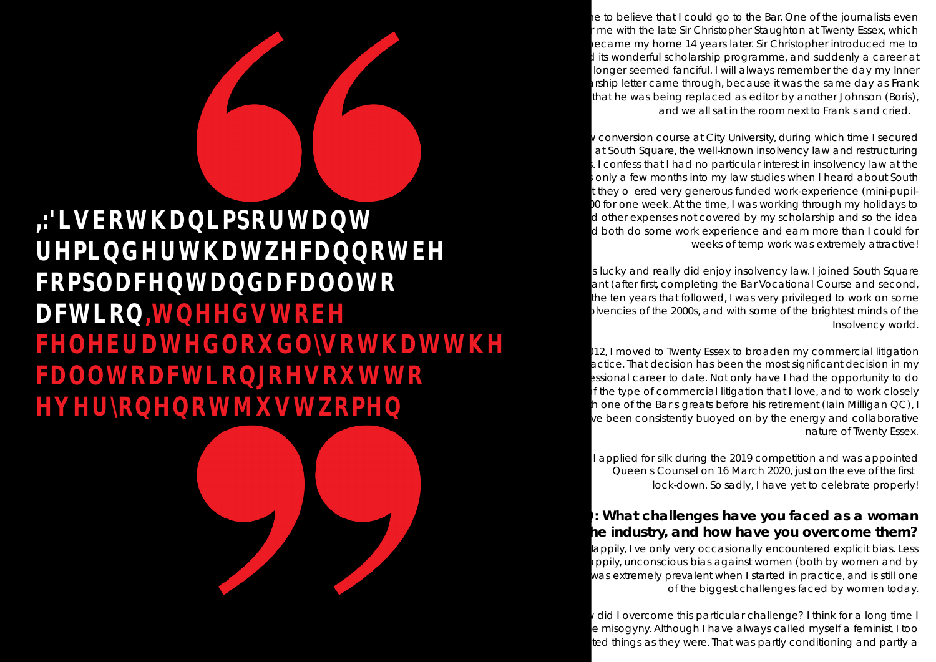he to believe that I could go to the Bar. One of the journalists even me with the late Sir Christopher Staughton at Twenty Essex, which became my home 14 years later. Sir Christopher introduced me to I its wonderful scholarship programme, and suddenly a career at longer seemed fanciful. I will always remember the day my Inner arship letter came through, because it was the same day as Frank that he was being replaced as editor by another Johnson (Boris), and we all sat in the room next to Frank s and cried.

v conversion course at City University, during which time I secured at South Square, the well-known insolvency law and restructuring  $\cdot$  I confess that I had no particular interest in insolvency law at the only a few months into my law studies when I heard about South they o ered very generous funded work-experience (mini-pupil-10 for one week. At the time, I was working through my holidays to d other expenses not covered by my scholarship and so the idea d both do some work experience and earn more than I could for weeks of temp work was extremely attractive!

s lucky and really did enjoy insolvency law. I joined South Square ant (after first, completing the Bar Vocational Course and second, the ten years that followed, I was very privileged to work on some pivencies of the 2000s, and with some of the brightest minds of the Insolvency world.

112, I moved to Twenty Essex to broaden my commercial litigation actice. That decision has been the most significant decision in my essional career to date. Not only have I had the opportunity to do of the type of commercial litigation that I love, and to work closely h one of the Bars greats before his retirement (Iain Milligan QC), I ve been consistently buoyed on by the energy and collaborative nature of Twenty Essex.

lappily, I ve only very occasionally encountered explicit bias. Less appily, unconscious bias against women (both by women and by was extremely prevalent when I started in practice, and is still one of the biggest challenges faced by women today.

I did I overcome this particular challenge? I think for a long time I e misogyny. Although I have always called myself a feminist, I too ted things as they were. That was partly conditioning and partly a

,:'LVERWKDQLPSRUWDQW UHPLQGHUWKDWZHFDQQRWEH FRPSODFHQWDQGDFDOOWR DFWLRQ,WQHHGVWREH FHOHEUDWHGOR&OVRWKDWWKH FDOOWRDFWLRQJRHVRXWWR **HYHURQHQRWMXWWRPHQ** 

> I applied for silk during the 2019 competition and was appointed Queens Counsel on 16 March 2020, just on the eve of the first lock-down. So sadly, I have yet to celebrate properly!

## **Q: What challenges have you faced as a woman in the industry, and how have you overcome them?**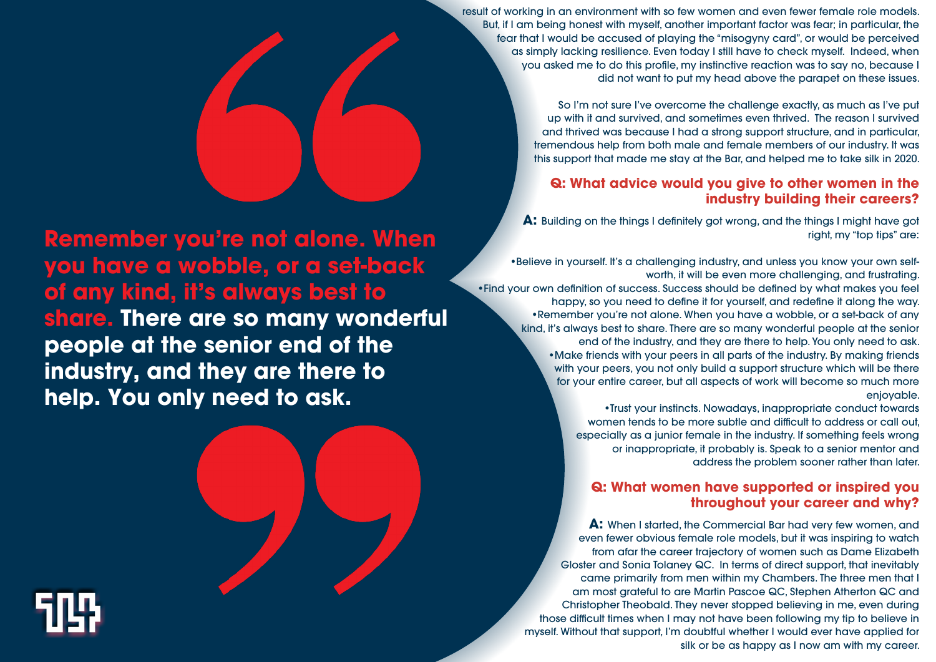result of working in an environment with so few women and even fewer female role models. But, if I am being honest with myself, another important factor was fear; in particular, the fear that I would be accused of playing the "misogyny card", or would be perceived as simply lacking resilience. Even today I still have to check myself. Indeed, when you asked me to do this profile, my instinctive reaction was to say no, because I did not want to put my head above the parapet on these issues.

> So I'm not sure I've overcome the challenge exactly, as much as I've put up with it and survived, and sometimes even thrived. The reason I survived and thrived was because I had a strong support structure, and in particular, tremendous help from both male and female members of our industry. It was this support that made me stay at the Bar, and helped me to take silk in 2020.

## **Q: What advice would you give to other women in the industry building their careers?**

## **Q: What women have supported or inspired you throughout your career and why?**

**A:** When I started, the Commercial Bar had very few women, and even fewer obvious female role models, but it was inspiring to watch from afar the career trajectory of women such as Dame Elizabeth Gloster and Sonia Tolaney QC. In terms of direct support, that inevitably came primarily from men within my Chambers. The three men that I am most grateful to are Martin Pascoe QC, Stephen Atherton QC and Christopher Theobald. They never stopped believing in me, even during those difficult times when I may not have been following my tip to believe in myself. Without that support, I'm doubtful whether I would ever have applied for silk or be as happy as I now am with my career.



**A:** Building on the things I definitely got wrong, and the things I might have got right, my "top tips" are:

•Believe in yourself. It's a challenging industry, and unless you know your own selfworth, it will be even more challenging, and frustrating. happy, so you need to define it for yourself, and redefine it along the way. •Remember you're not alone. When you have a wobble, or a set-back of any kind, it's always best to share. There are so many wonderful people at the senior end of the industry, and they are there to help. You only need to ask. •Make friends with your peers in all parts of the industry. By making friends with your peers, you not only build a support structure which will be there for your entire career, but all aspects of work will become so much more enjoyable. •Trust your instincts. Nowadays, inappropriate conduct towards •Find your own definition of success. Success should be defined by what makes you feel

women tends to be more subtle and difficult to address or call out, especially as a junior female in the industry. If something feels wrong or inappropriate, it probably is. Speak to a senior mentor and address the problem sooner rather than later.

**Remember you're not alone. When you have a wobble, or a set-back of any kind, it's always best to share. There are so many wonderful people at the senior end of the industry, and they are there to help. You only need to ask.**